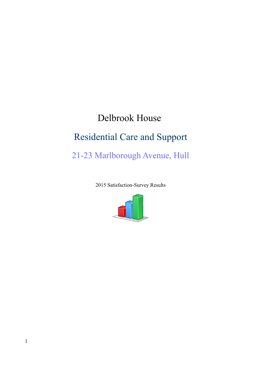# Delbrook House Residential Care and Support 21-23 Marlborough Avenue, Hull

2015 Satisfaction-Survey Results

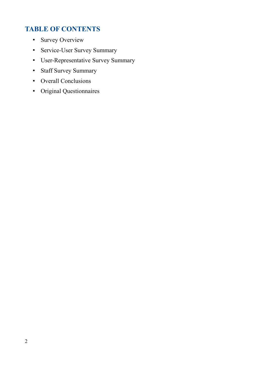## **TABLE OF CONTENTS**

- Survey Overview
- Service-User Survey Summary
- User-Representative Survey Summary
- Staff Survey Summary
- Overall Conclusions
- Original Questionnaires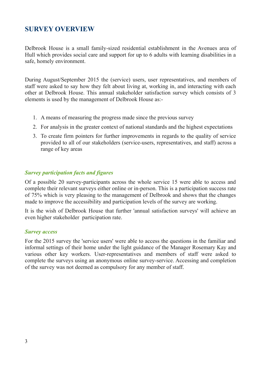### **SURVEY OVERVIEW**

Delbrook House is a small family-sized residential establishment in the Avenues area of Hull which provides social care and support for up to 6 adults with learning disabilities in a safe, homely environment.

During August/September 2015 the (service) users, user representatives, and members of staff were asked to say how they felt about living at, working in, and interacting with each other at Delbrook House. This annual stakeholder satisfaction survey which consists of 3 elements is used by the management of Delbrook House as:-

- 1. A means of measuring the progress made since the previous survey
- 2. For analysis in the greater context of national standards and the highest expectations
- 3. To create firm pointers for further improvements in regards to the quality of service provided to all of our stakeholders (service-users, representatives, and staff) across a range of key areas

### *Survey participation facts and figures*

Of a possible 20 survey-participants across the whole service 15 were able to access and complete their relevant surveys either online or in-person. This is a participation success rate of 75% which is very pleasing to the management of Delbrook and shows that the changes made to improve the accessibility and participation levels of the survey are working.

It is the wish of Delbrook House that further 'annual satisfaction surveys' will achieve an even higher stakeholder participation rate.

#### *Survey access*

For the 2015 survey the 'service users' were able to access the questions in the familiar and informal settings of their home under the light guidance of the Manager Rosemary Kay and various other key workers. User-representatives and members of staff were asked to complete the surveys using an anonymous online survey-service. Accessing and completion of the survey was not deemed as compulsory for any member of staff.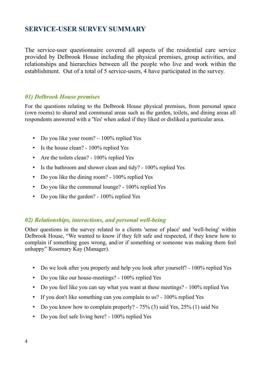### **SERVICE-USER SURVEY SUMMARY**

The service-user questionnaire covered all aspects of the residential care service provided by Delbrook House including the physical premises, group activities, and relationships and hierarchies between all the people who live and work within the establishment. Out of a total of 5 service-users, 4 have participated in the survey.

### *01) Delbrook House premises*

For the questions relating to the Delbrook House physical premises, from personal space (own rooms) to shared and communal areas such as the garden, toilets, and dining areas all respondents answered with a 'Yes' when asked if they liked or disliked a particular area.

- Do you like your room?  $-100\%$  replied Yes
- Is the house clean? 100% replied Yes
- Are the toilets clean? 100% replied Yes
- Is the bathroom and shower clean and tidy? 100% replied Yes
- Do you like the dining room? 100% replied Yes
- Do you like the communal lounge? 100% replied Yes
- Do you like the garden? 100% replied Yes

### *02) Relationships, interactions, and personal well-being*

Other questions in the survey related to a clients 'sense of place' and 'well-being' within Delbrook House, "We wanted to know if they felt safe and respected, if they knew how to complain if something goes wrong, and/or if something or someone was making them feel unhappy" Rosemary Kay (Manager).

- Do we look after you properly and help you look after yourself? 100% replied Yes
- Do you like our house-meetings? 100% replied Yes
- Do you feel like you can say what you want at these meetings? 100% replied Yes
- If you don't like something can you complain to us? 100% replied Yes
- Do you know how to complain properly? 75% (3) said Yes, 25% (1) said No
- Do you feel safe living here? 100% replied Yes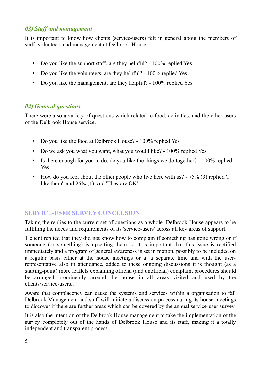### *03) Staff and management*

It is important to know how clients (service-users) felt in general about the members of staff, volunteers and management at Delbrook House.

- Do you like the support staff, are they helpful? 100% replied Yes
- Do you like the volunteers, are they helpful? 100% replied Yes
- Do you like the management, are they helpful? 100% replied Yes

### *04) General questions*

There were also a variety of questions which related to food, activities, and the other users of the Delbrook House service.

- Do you like the food at Delbrook House? 100% replied Yes
- Do we ask you what you want, what you would like? 100% replied Yes
- Is there enough for you to do, do you like the things we do together? 100% replied Yes
- How do you feel about the other people who live here with us? 75% (3) replied 'I like them', and 25% (1) said 'They are OK'

### **SERVICE-USER SURVEY CONCLUSION**

Taking the replies to the current set of questions as a whole Delbrook House appears to be fulfilling the needs and requirements of its 'service-users' across all key areas of support.

1 client replied that they did not know how to complain if something has gone wrong or if someone (or something) is upsetting them so it is important that this issue is rectified immediately and a program of general awareness is set in motion, possibly to be included on a regular basis either at the house meetings or at a separate time and with the userrepresentative also in attendance, added to these ongoing discussions it is thought (as a starting-point) more leaflets explaining official (and unofficial) complaint procedures should be arranged prominently around the house in all areas visited and used by the clients/service-users..

Aware that complacency can cause the systems and services within a organisation to fail Delbrook Management and staff will initiate a discussion process during its house-meetings to discover if there are further areas which can be covered by the annual service-user survey.

It is also the intention of the Delbrook House management to take the implementation of the survey completely out of the hands of Delbrook House and its staff, making it a totally independent and transparent process.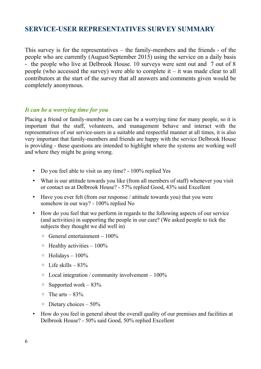### **SERVICE-USER REPRESENTATIVES SURVEY SUMMARY**

This survey is for the representatives – the family-members and the friends - of the people who are currently (August/September 2015) using the service on a daily basis - the people who live at Delbrook House. 10 surveys were sent out and 7 out of 8 people (who accessed the survey) were able to complete it – it was made clear to all contributors at the start of the survey that all answers and comments given would be completely anonymous.

### *It can be a worrying time for you*

Placing a friend or family-member in care can be a worrying time for many people, so it is important that the staff, volunteers, and management behave and interact with the representatives of our service-users in a suitable and respectful manner at all times, it is also very important that family-members and friends are happy with the service Delbrook House is providing - these questions are intended to highlight where the systems are working well and where they might be going wrong.

- Do you feel able to visit us any time? 100% replied Yes
- What is our attitude towards you like (from all members of staff) whenever you visit or contact us at Delbrook House? - 57% replied Good, 43% said Excellent
- Have you ever felt (from our response / attitude towards you) that you were somehow in our way? - 100% replied No
- How do you feel that we perform in regards to the following aspects of our service (and activities) in supporting the people in our care? (We asked people to tick the subjects they thought we did well in)
	- $\circ$  General entertainment 100%
	- $\circ$  Healthy activities 100%
	- $\circ$  Holidays 100%
	- $\circ$  Life skills 83%
	- $\circ$  Local integration / community involvement 100%
	- $\circ$  Supported work 83%
	- $\circ$  The arts 83%
	- Dietary choices 50%
- How do you feel in general about the overall quality of our premises and facilities at Delbrook House? - 50% said Good, 50% replied Excellent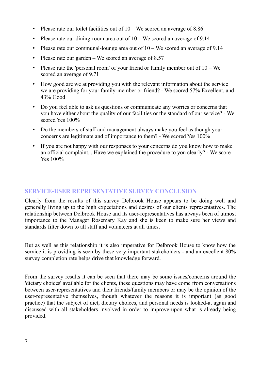- Please rate our toilet facilities out of  $10 -$ We scored an average of 8.86
- Please rate our dining-room area out of  $10 -$ We scored an average of 9.14
- Please rate our communal-lounge area out of  $10 -$ We scored an average of 9.14
- Please rate our garden We scored an average of 8.57
- Please rate the 'personal room' of your friend or family member out of  $10 We$ scored an average of 9.71
- How good are we at providing you with the relevant information about the service we are providing for your family-member or friend? - We scored 57% Excellent, and 43% Good
- Do you feel able to ask us questions or communicate any worries or concerns that you have either about the quality of our facilities or the standard of our service? - We scored Yes 100%
- Do the members of staff and management always make you feel as though your concerns are legitimate and of importance to them? - We scored Yes 100%
- If you are not happy with our responses to your concerns do you know how to make an official complaint... Have we explained the procedure to you clearly? - We score Yes 100%

### **SERVICE-USER REPRESENTATIVE SURVEY CONCLUSION**

Clearly from the results of this survey Delbrook House appears to be doing well and generally living up to the high expectations and desires of our clients representatives. The relationship between Delbrook House and its user-representatives has always been of utmost importance to the Manager Rosemary Kay and she is keen to make sure her views and standards filter down to all staff and volunteers at all times.

But as well as this relationship it is also imperative for Delbrook House to know how the service it is providing is seen by these very important stakeholders - and an excellent 80% survey completion rate helps drive that knowledge forward.

From the survey results it can be seen that there may be some issues/concerns around the 'dietary choices' available for the clients, these questions may have come from conversations between user-representatives and their friends/family members or may be the opinion of the user-representative themselves, though whatever the reasons it is important (as good practice) that the subject of diet, dietary choices, and personal needs is looked-at again and discussed with all stakeholders involved in order to improve-upon what is already being provided.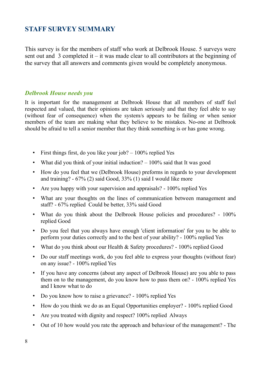### **STAFF SURVEY SUMMARY**

This survey is for the members of staff who work at Delbrook House. 5 surveys were sent out and 3 completed it – it was made clear to all contributors at the beginning of the survey that all answers and comments given would be completely anonymous.

### *Delbrook House needs you*

It is important for the management at Delbrook House that all members of staff feel respected and valued, that their opinions are taken seriously and that they feel able to say (without fear of consequence) when the system/s appears to be failing or when senior members of the team are making what they believe to be mistakes. No-one at Delbrook should be afraid to tell a senior member that they think something is or has gone wrong.

- First things first, do you like your job?  $-100\%$  replied Yes
- What did you think of your initial induction?  $-100\%$  said that It was good
- How do you feel that we (Delbrook House) preforms in regards to your development and training? - 67% (2) said Good, 33% (1) said I would like more
- Are you happy with your supervision and appraisals? 100% replied Yes
- What are your thoughts on the lines of communication between management and staff? - 67% replied Could be better, 33% said Good
- What do you think about the Delbrook House policies and procedures? 100% replied Good
- Do you feel that you always have enough 'client information' for you to be able to perform your duties correctly and to the best of your ability? - 100% replied Yes
- What do you think about our Health & Safety procedures? 100% replied Good
- Do our staff meetings work, do you feel able to express your thoughts (without fear) on any issue? - 100% replied Yes
- If you have any concerns (about any aspect of Delbrook House) are you able to pass them on to the management, do you know how to pass them on? - 100% replied Yes and I know what to do
- Do you know how to raise a grievance? 100% replied Yes
- How do you think we do as an Equal Opportunities employer? 100% replied Good
- Are you treated with dignity and respect? 100% replied Always
- Out of 10 how would you rate the approach and behaviour of the management? The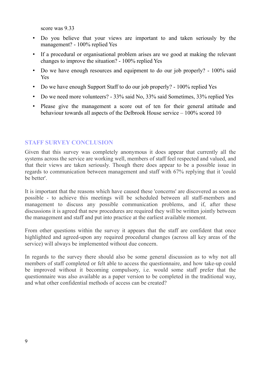score was 9.33

- Do you believe that your views are important to and taken seriously by the management? - 100% replied Yes
- If a procedural or organisational problem arises are we good at making the relevant changes to improve the situation? - 100% replied Yes
- Do we have enough resources and equipment to do our job properly? 100% said Yes
- Do we have enough Support Staff to do our job properly? 100% replied Yes
- Do we need more volunteers? 33% said No, 33% said Sometimes, 33% replied Yes
- Please give the management a score out of ten for their general attitude and behaviour towards all aspects of the Delbrook House service – 100% scored 10

### **STAFF SURVEY CONCLUSION**

Given that this survey was completely anonymous it does appear that currently all the systems across the service are working well, members of staff feel respected and valued, and that their views are taken seriously. Though there does appear to be a possible issue in regards to communication between management and staff with 67% replying that it 'could be better'.

It is important that the reasons which have caused these 'concerns' are discovered as soon as possible - to achieve this meetings will be scheduled between all staff-members and management to discuss any possible communication problems, and if, after these discussions it is agreed that new procedures are required they will be written jointly between the management and staff and put into practice at the earliest available moment.

From other questions within the survey it appears that the staff are confident that once highlighted and agreed-upon any required procedural changes (across all key areas of the service) will always be implemented without due concern.

In regards to the survey there should also be some general discussion as to why not all members of staff completed or felt able to access the questionnaire, and how take-up could be improved without it becoming compulsory, i.e. would some staff prefer that the questionnaire was also available as a paper version to be completed in the traditional way, and what other confidential methods of access can be created?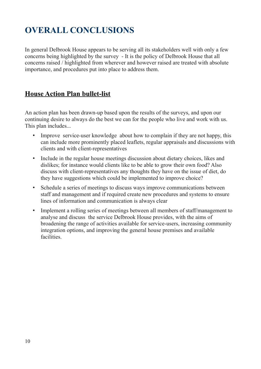# **OVERALL CONCLUSIONS**

In general Delbrook House appears to be serving all its stakeholders well with only a few concerns being highlighted by the survey - It is the policy of Delbrook House that all concerns raised / highlighted from wherever and however raised are treated with absolute importance, and procedures put into place to address them.

### **House Action Plan bullet-list**

An action plan has been drawn-up based upon the results of the surveys, and upon our continuing desire to always do the best we can for the people who live and work with us. This plan includes...

- Improve service-user knowledge about how to complain if they are not happy, this can include more prominently placed leaflets, regular appraisals and discussions with clients and with client-representatives
- Include in the regular house meetings discussion about dietary choices, likes and dislikes; for instance would clients like to be able to grow their own food? Also discuss with client-representatives any thoughts they have on the issue of diet, do they have suggestions which could be implemented to improve choice?
- Schedule a series of meetings to discuss ways improve communications between staff and management and if required create new procedures and systems to ensure lines of information and communication is always clear
- Implement a rolling series of meetings between all members of staff/management to analyse and discuss the service Delbrook House provides, with the aims of broadening the range of activities available for service-users, increasing community integration options, and improving the general house premises and available facilities.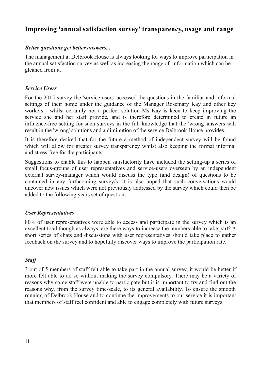### **Improving 'annual satisfaction survey' transparency, usage and range**

### *Better questions get better answers...*

The management at Delbrook House is always looking for ways to improve participation in the annual satisfaction survey as well as increasing the range of information which can be gleaned from it.

### *Service Users*

For the 2015 survey the 'service users' accessed the questions in the familiar and informal settings of their home under the guidance of the Manager Rosemary Kay and other key workers - whilst certainly not a perfect solution Ms Kay is keen to keep improving the service she and her staff provide, and is therefore determined to create in future an influence-free setting for such surveys in the full knowledge that the 'wrong' answers will result in the 'wrong' solutions and a diminution of the service Delbrook House provides.

It is therefore desired that for the future a method of independent survey will be found which will allow for greater survey transparency whilst also keeping the format informal and stress-free for the participants.

Suggestions to enable this to happen satisfactorily have included the setting-up a series of small focus-groups of user representatives and service-users overseen by an independent external survey-manager which would discuss the type (and design) of questions to be contained in any forthcoming survey/s, it is also hoped that such conversations would uncover new issues which were not previously addressed by the survey which could then be added to the following years set of questions.

### *User Representatives*

80% of user representatives were able to access and participate in the survey which is an excellent total though as always, are there ways to increase the numbers able to take part? A short series of chats and discussions with user representatives should take place to gather feedback on the survey and to hopefully discover ways to improve the participation rate.

### *Staff*

3 out of 5 members of staff felt able to take part in the annual survey, it would be better if more felt able to do so without making the survey compulsory. There may be a variety of reasons why some staff were unable to participate but it is important to try and find out the reasons why, from the survey time-scale, to its general availability. To ensure the smooth running of Delbrook House and to continue the improvements to our service it is important that members of staff feel confident and able to engage completely with future surveys.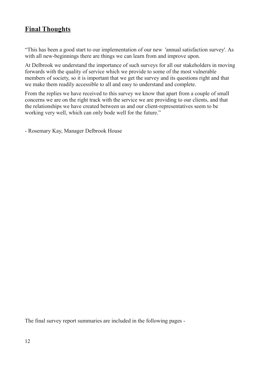### **Final Thoughts**

"This has been a good start to our implementation of our new 'annual satisfaction survey'. As with all new-beginnings there are things we can learn from and improve upon.

At Delbrook we understand the importance of such surveys for all our stakeholders in moving forwards with the quality of service which we provide to some of the most vulnerable members of society, so it is important that we get the survey and its questions right and that we make them readily accessible to all and easy to understand and complete.

From the replies we have received to this survey we know that apart from a couple of small concerns we are on the right track with the service we are providing to our clients, and that the relationships we have created between us and our client-representatives seem to be working very well, which can only bode well for the future."

- Rosemary Kay, Manager Delbrook House

The final survey report summaries are included in the following pages -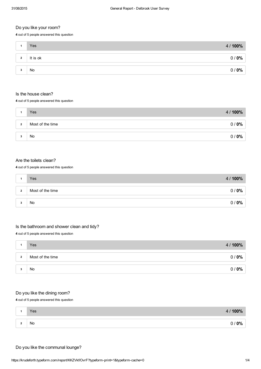#### Do you like your room?

4 out of 5 people answered this question

|                | Yes       | 4/100% |
|----------------|-----------|--------|
| $\overline{2}$ | It is ok  | 0/0%   |
| 3              | <b>No</b> | 0/0%   |

#### Is the house clean?

4 out of 5 people answered this question

|                | Yes              | 4/100% |
|----------------|------------------|--------|
| $\overline{2}$ | Most of the time | 0/0%   |
|                | No               | 0/0%   |

#### Are the toilets clean?

4 out of 5 people answered this question

|                | Yes              | 4/100% |
|----------------|------------------|--------|
| $\overline{2}$ | Most of the time | 0/0%   |
|                |                  |        |
|                | No               | 0/0%   |

### Is the bathroom and shower clean and tidy?

4 out of 5 people answered this question

|                | Yes              | 4/100% |
|----------------|------------------|--------|
| $\overline{2}$ | Most of the time | 0/0%   |
| ∽              | No               | 0/0%   |

#### Do you like the dining room?

4 out of 5 people answered this question

| Yes | / 100%<br>4/ |
|-----|--------------|
|     |              |
| No  | 10%          |

#### Do you like the communal lounge?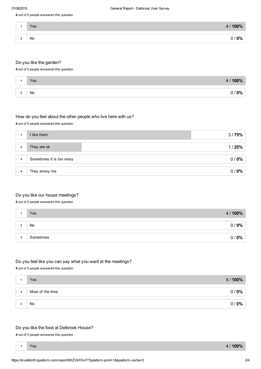4 out of 5 people answered this question

|                     | Yes | $100\%$<br>4 <sub>l</sub> |
|---------------------|-----|---------------------------|
|                     |     |                           |
| $\hat{\phantom{a}}$ | No  | $0\%$<br>O                |
|                     |     |                           |

#### Do you like the garden?

4 out of 5 people answered this question

| Yes | 4/100%       |
|-----|--------------|
| No  | $/ 0\%$<br>7 |

#### How do you feel about the other people who live here with us?

4 out of 5 people answered this question

|                | I like them               | 3/75% |
|----------------|---------------------------|-------|
| $\overline{2}$ | They are ok               | 1/25% |
| $\mathbf{3}$   | Sometimes it is too noisy | 0/0%  |
| 4              | They annoy me             | 0/0%  |

#### Do you like our house meetings?

4 out of 5 people answered this question

|                    | Yes       | 4 / 100% |
|--------------------|-----------|----------|
| $\sim$<br><b>L</b> | No        | 0/0%     |
| 3                  | Sometimes | 0/0%     |

#### Do you feel like you can say what you want at the meetings?

4 out of 5 people answered this question

|                | Yes              | 4/100%                  |
|----------------|------------------|-------------------------|
| $\overline{2}$ | Most of the time | $0\%$<br>0 <sub>l</sub> |
|                |                  |                         |
|                | No               | $0\%$<br>0/             |

#### Do you like the food at Delbrook House?

4 out of 5 people answered this question

Yes

<sup>1</sup> 4 / 100%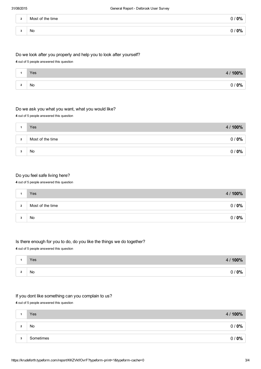| $\cdot$ | Most of the time | $0\%$ |
|---------|------------------|-------|
| o       | No               | $0\%$ |

#### Do we look after you properly and help you to look after yourself?

4 out of 5 people answered this question

| Yes | 4/100% |
|-----|--------|
| No  | / 0%   |

#### Do we ask you what you want, what you would like?

4 out of 5 people answered this question

|                | <b>Yes</b>       | 4/100%                           |
|----------------|------------------|----------------------------------|
| $\overline{2}$ | Most of the time | $^{\prime}$ 0% $^{\prime}$<br>0/ |
|                |                  |                                  |
| -3             | No               | 0/0%                             |

#### Do you feel safe living here?

#### 4 out of 5 people answered this question

|                | <b>Yes</b>       | 4 / 100%    |
|----------------|------------------|-------------|
| $\overline{2}$ | Most of the time | $0\%$<br>0/ |
|                |                  |             |
|                | No               | $0\%$<br>0/ |

#### Is there enough for you to do, do you like the things we do together?

4 out of 5 people answered this question

| Yes | 4/100% |
|-----|--------|
| No  | 0/0%   |

#### If you dont like something can you complain to us?

4 out of 5 people answered this question

|                 | Yes       | 4 / 100% |
|-----------------|-----------|----------|
| $\sqrt{2}$<br>▴ | No        | 0/0%     |
| 3               | Sometimes | 0/0%     |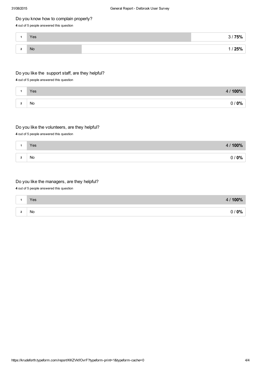#### Do you know how to complain properly?

#### 4 out of 5 people answered this question

|                 | Yes | 75%<br>$\bullet$ . |
|-----------------|-----|--------------------|
| ີ<br>$\epsilon$ | No  | 25%                |

#### Do you like the support staff, are they helpful?

4 out of 5 people answered this question

| Yes | $100\%$<br>4/ |
|-----|---------------|
|     |               |
| No. | $0\%$         |

#### Do you like the volunteers, are they helpful?

4 out of 5 people answered this question

| Yes | 4/100% |
|-----|--------|
|     |        |
| No  | 0/0%   |

#### Do you like the managers, are they helpful?

4 out of 5 people answered this question

| Yes | 00%<br>4 <sub>l</sub> |
|-----|-----------------------|
|     |                       |
| No  | $0\%$                 |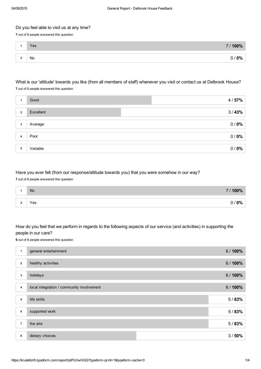#### Do you feel able to visit us at any time?

7 out of 8 people answered this question

| ⌒<br>- | Yes | 7/100%         |
|--------|-----|----------------|
|        | No  | $^{\prime}$ 0% |

### What is our 'attitude' towards you like (from all members of staff) whenever you visit or contact us at Delbrook House?

7 out of 8 people answered this question

|                | Good      | 4/57% |
|----------------|-----------|-------|
| $\overline{2}$ | Excellent | 3/43% |
| 3              | Average   | 0/0%  |
| 4              | Poor      | 0/0%  |
| 5              | Variable  | 0/0%  |

#### Have you ever felt (from our response/attitude towards you) that you were somehow in our way?

7 out of 8 people answered this question

|   | No  | 7/100% |
|---|-----|--------|
|   |     |        |
| - | Yes | $0\%$  |

#### How do you feel that we perform in regards to the following aspects of our service (and activities) in supporting the people in our care?

6 out of 8 people answered this question

| 1              | general entertainment                     | 6/100% |
|----------------|-------------------------------------------|--------|
| $\overline{2}$ | healthy activities                        | 6/100% |
| 3              | holidays                                  | 6/100% |
| 4              | local integration / community involvement | 6/100% |
| 5              | life skills                               | 5/83%  |
| 6              | supported work                            | 5/83%  |
| $\overline{7}$ | the arts                                  | 5/83%  |
| 8              | dietary choices                           | 3/50%  |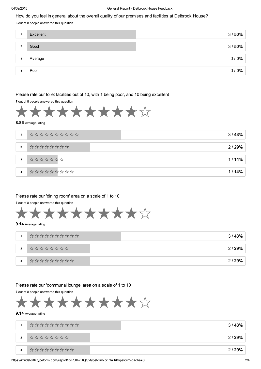#### How do you feel in general about the overall quality of our premises and facilities at Delbrook House?

6 out of 8 people answered this question

| Excellent | 3/50% |
|-----------|-------|
|           |       |
| Good      | 3/50% |
|           |       |
| Average   | 0/0%  |
|           |       |
| Poor      | 0/0%  |
|           |       |

#### Please rate our toilet facilities out of 10, with 1 being poor, and 10 being excellent

7 out of 8 people answered this question



#### 8.86 Average rating

| 1              |                                                                                                                               | 3/43% |
|----------------|-------------------------------------------------------------------------------------------------------------------------------|-------|
| $\overline{2}$ | $\uparrow$ $\uparrow$ $\downarrow$ $\downarrow$ $\downarrow$ $\downarrow$ $\downarrow$ $\downarrow$ $\downarrow$ $\downarrow$ | 2/29% |
| $\mathbf{3}$   | *******                                                                                                                       | 1/14% |
| 4              |                                                                                                                               | 1/14% |

#### Please rate our 'dining room' area on a scale of 1 to 10.

7 out of 8 people answered this question



#### 9.14 Average rating

|                |                                                                                                                                          | 3/43% |
|----------------|------------------------------------------------------------------------------------------------------------------------------------------|-------|
| $\overline{2}$ | $\uparrow$ $\uparrow$ $\downarrow$ $\uparrow$ $\downarrow$ $\downarrow$ $\downarrow$ $\downarrow$ $\downarrow$ $\downarrow$ $\downarrow$ | 2/29% |
| 3              |                                                                                                                                          | 2/29% |

Please rate our 'communal lounge' area on a scale of 1 to 10

7 out of 8 people answered this question



#### 9.14 Average rating

|                | *********** | 3/43% |
|----------------|-------------|-------|
| $\overline{2}$ |             | 2/29% |
| 3              | **********  | 2/29% |

https://krudeforth.typeform.com/report/ipIPUI/wHQG?typeform-print=1&typeform-cache=0 2/4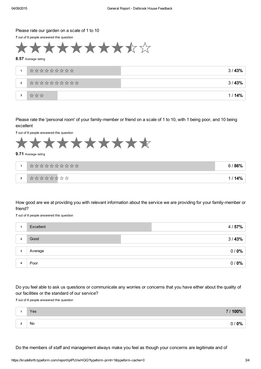#### Please rate our garden on a scale of 1 to 10

7 out of 8 people answered this question



#### 8.57 Average rating

|                |             | 3/43% |
|----------------|-------------|-------|
| $\overline{2}$ | *********** | 3/43% |
| 3              | 改改改         | 1/14% |

Please rate the 'personal room' of your family-member or friend on a scale of 1 to 10, with 1 being poor, and 10 being excellent

7 out of 8 people answered this question



#### 9.71 Average rating

|                         | *********** | 6 / 86%        |
|-------------------------|-------------|----------------|
| $\overline{\mathbf{2}}$ | ********    | 1 / <b>14%</b> |

How good are we at providing you with relevant information about the service we are providing for your family-member or friend?

7 out of 8 people answered this question

|              | Excellent | 4/57% |
|--------------|-----------|-------|
| $\mathbf{2}$ | Good      | 3/43% |
| 3            | Average   | 0/0%  |
|              | Poor      | 0/0%  |

Do you feel able to ask us questions or communicate any worries or concerns that you have either about the quality of our facilities or the standard of our service?

7 out of 8 people answered this question

|     | Yes | 7/100% |
|-----|-----|--------|
|     |     |        |
| . . | No  | $0\%$  |

Do the members of staff and management always make you feel as though your concerns are legitimate and of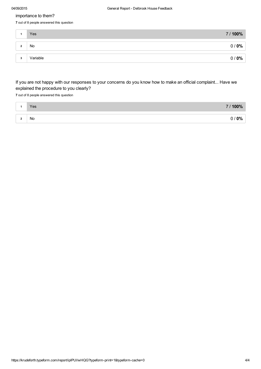#### importance to them?

7 out of 8 people answered this question

|                         | Yes      | 7/100% |
|-------------------------|----------|--------|
| $\mathbf{\hat{a}}$<br>▴ | No       | 0/0%   |
| 3                       | Variable | 0/0%   |

If you are not happy with our responses to your concerns do you know how to make an official complaint... Have we explained the procedure to you clearly?

7 out of 8 people answered this question

| Yes | 100%<br>7 <sup>1</sup> |
|-----|------------------------|
| No  | <b>00/</b>             |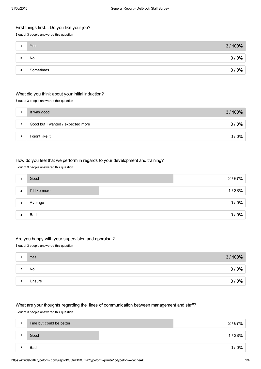#### First things first... Do you like your job?

3 out of 3 people answered this question

|         | Yes       | 3/100%       |
|---------|-----------|--------------|
| $\cdot$ | No        | , 0% '<br>0/ |
| 3       | Sometimes | 0%<br>0/     |

#### What did you think about your initial induction?

3 out of 3 people answered this question

|                | It was good                       | 3/100% |
|----------------|-----------------------------------|--------|
|                |                                   |        |
| $\overline{2}$ | Good but I wanted / expected more | 0/0%   |
|                |                                   |        |
| 3              | didnt like it                     | 0/0%   |

#### How do you feel that we perform in regards to your development and training?

#### 3 out of 3 people answered this question

|                | Good          | 2/67% |
|----------------|---------------|-------|
| $\overline{2}$ | I'd like more | 1/33% |
| 3              | Average       | 0/0%  |
|                |               |       |
|                | Bad           | 0/0%  |

#### Are you happy with your supervision and appraisal?

3 out of 3 people answered this question

|        | Yes    | 3/100% |
|--------|--------|--------|
| $\sim$ | No     | 0/0%   |
|        |        |        |
| 3      | Unsure | 0/0%   |

#### What are your thoughts regarding the lines of communication between management and staff?

3 out of 3 people answered this question

| 1            | Fine but could be better | 2/67%           |
|--------------|--------------------------|-----------------|
| ໍາ<br>▴      | Good                     | 1/33%           |
| $\cdot$<br>۰ | <b>Bad</b>               | $0\%$<br>$\cap$ |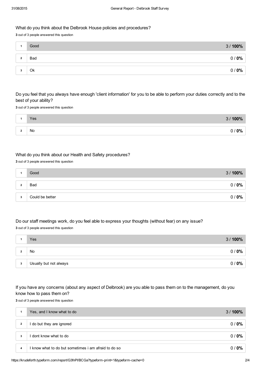#### What do you think about the Delbrook House policies and procedures?

3 out of 3 people answered this question

|              | Good | 3/100% |
|--------------|------|--------|
| $\mathbf{2}$ | Bad  | 0/0%   |
|              |      |        |
|              | Ok   | 0/0%   |
|              |      |        |

#### Do you feel that you always have enough 'client information' for you to be able to perform your duties correctly and to the best of your ability?

3 out of 3 people answered this question

| Yes | $3/100\%$ |
|-----|-----------|
|     |           |
| No  | $0\%$     |

#### What do you think about our Health and Safety procedures?

3 out of 3 people answered this question

|         | Good            | 3/100% |
|---------|-----------------|--------|
|         |                 |        |
| $\cdot$ | Bad             | 0/0%   |
|         |                 |        |
| 3       | Could be better | 0/0%   |

### Do our staff meetings work, do you feel able to express your thoughts (without fear) on any issue?

3 out of 3 people answered this question

|   | Yes                    | 3/100%          |
|---|------------------------|-----------------|
|   |                        |                 |
|   | No                     | $\sim$ 0%<br>0/ |
| 3 | Usually but not always | $\sim$ 0%<br>0/ |

#### If you have any concerns (about any aspect of Delbrook) are you able to pass them on to the management, do you know how to pass them on?

3 out of 3 people answered this question

|                | Yes, and I know what to do                           | 3/100% |
|----------------|------------------------------------------------------|--------|
| $\overline{2}$ | I do but they are ignored                            | 0/0%   |
|                |                                                      |        |
| 3              | I dont know what to do                               | 0/0%   |
|                |                                                      |        |
| 4              | I know what to do but sometimes i am afraid to do so | 0/0%   |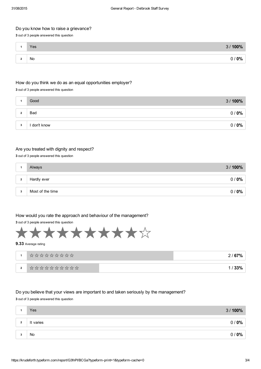#### Do you know how to raise a grievance?

3 out of 3 people answered this question

|            | Yes | 100%<br>2 <sup>7</sup> |
|------------|-----|------------------------|
|            |     |                        |
| $\sqrt{2}$ | No  | $0\%$                  |

#### How do you think we do as an equal opportunities employer?

3 out of 3 people answered this question

|         | Good         | 3/100% |
|---------|--------------|--------|
| $\cdot$ | <b>Bad</b>   | 0/0%   |
| 3       | l don't know | 0/0%   |

#### Are you treated with dignity and respect?

3 out of 3 people answered this question

| Hardly ever<br>$\overline{2}$ | 3/100% |
|-------------------------------|--------|
|                               | 0/0%   |
| Most of the time<br>3         | 0/0%   |

#### How would you rate the approach and behaviour of the management?

3 out of 3 people answered this question



#### 9.33 Average rating

|              | **********  | 2/67% |
|--------------|-------------|-------|
| $\mathbf{2}$ | *********** |       |

#### Do you believe that your views are important to and taken seriously by the management? 3 out of 3 people answered this question

| Yes                         | 3/100%      |
|-----------------------------|-------------|
| It varies<br>$\overline{2}$ | $0\%$<br>0/ |
| No<br>$\cdot$               | 0/0%        |